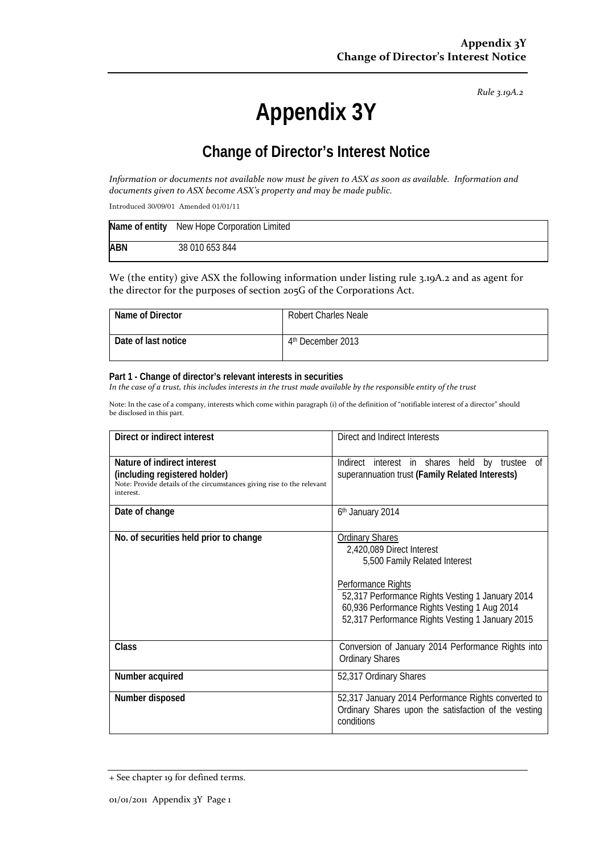*Rule 3.19A.2*

# **Appendix 3Y**

# **Change of Director's Interest Notice**

Information or documents not available now must be given to ASX as soon as available. Information and *documents given to ASX become ASX's property and may be made public.*

Introduced 30/09/01 Amended 01/01/11

|            | Name of entity New Hope Corporation Limited |
|------------|---------------------------------------------|
| <b>ABN</b> | 38 010 653 844                              |

We (the entity) give ASX the following information under listing rule 3.19A.2 and as agent for the director for the purposes of section 205G of the Corporations Act.

| Name of Director    | <b>Robert Charles Neale</b>   |
|---------------------|-------------------------------|
| Date of last notice | 4 <sup>th</sup> December 2013 |

#### **Part 1 - Change of director's relevant interests in securities**

In the case of a trust, this includes interests in the trust made available by the responsible entity of the trust

Note: In the case of a company, interests which come within paragraph (i) of the definition of "notifiable interest of a director" should be disclosed in this part.

| Direct or indirect interest                                                                                                                         | Direct and Indirect Interests                                                                                                                                                                                                                                      |  |
|-----------------------------------------------------------------------------------------------------------------------------------------------------|--------------------------------------------------------------------------------------------------------------------------------------------------------------------------------------------------------------------------------------------------------------------|--|
| Nature of indirect interest<br>(including registered holder)<br>Note: Provide details of the circumstances giving rise to the relevant<br>interest. | Indirect interest in shares held by trustee of<br>superannuation trust (Family Related Interests)                                                                                                                                                                  |  |
| Date of change                                                                                                                                      | 6 <sup>th</sup> January 2014                                                                                                                                                                                                                                       |  |
| No. of securities held prior to change                                                                                                              | <b>Ordinary Shares</b><br>2,420,089 Direct Interest<br>5,500 Family Related Interest<br>Performance Rights<br>52,317 Performance Rights Vesting 1 January 2014<br>60,936 Performance Rights Vesting 1 Aug 2014<br>52,317 Performance Rights Vesting 1 January 2015 |  |
| <b>Class</b>                                                                                                                                        | Conversion of January 2014 Performance Rights into<br><b>Ordinary Shares</b>                                                                                                                                                                                       |  |
| Number acquired                                                                                                                                     | 52,317 Ordinary Shares                                                                                                                                                                                                                                             |  |
| Number disposed                                                                                                                                     | 52,317 January 2014 Performance Rights converted to<br>Ordinary Shares upon the satisfaction of the vesting<br>conditions                                                                                                                                          |  |

<sup>+</sup> See chapter 19 for defined terms.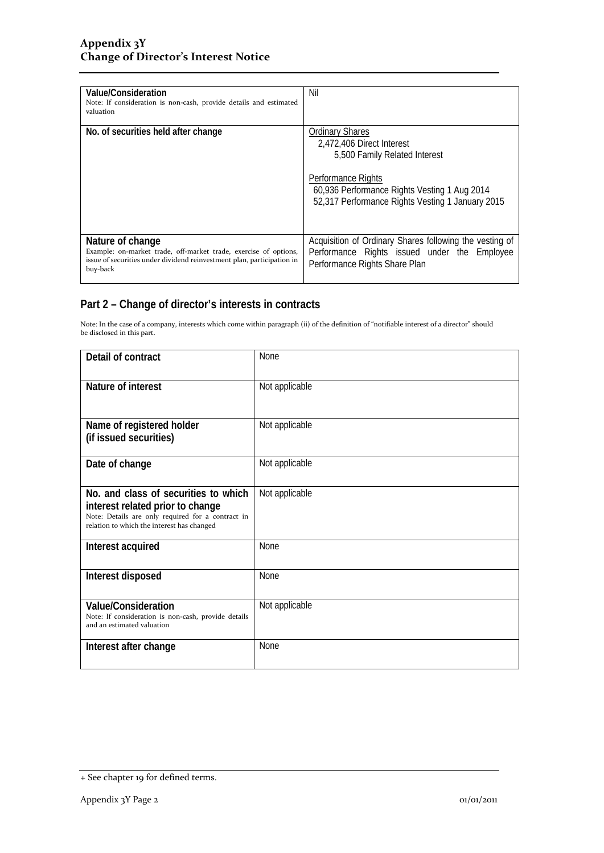| Value/Consideration<br>Note: If consideration is non-cash, provide details and estimated<br>valuation                                                                      | Nil                                                                                                                                                                                                                   |
|----------------------------------------------------------------------------------------------------------------------------------------------------------------------------|-----------------------------------------------------------------------------------------------------------------------------------------------------------------------------------------------------------------------|
| No. of securities held after change                                                                                                                                        | <b>Ordinary Shares</b><br>2,472,406 Direct Interest<br>5,500 Family Related Interest<br><b>Performance Rights</b><br>60,936 Performance Rights Vesting 1 Aug 2014<br>52,317 Performance Rights Vesting 1 January 2015 |
| Nature of change<br>Example: on-market trade, off-market trade, exercise of options,<br>issue of securities under dividend reinvestment plan, participation in<br>buy-back | Acquisition of Ordinary Shares following the vesting of<br>Performance Rights issued under the Employee<br>Performance Rights Share Plan                                                                              |

### **Part 2 – Change of director's interests in contracts**

Note: In the case of a company, interests which come within paragraph (ii) of the definition of "notifiable interest of a director" should be disclosed in this part.

| Detail of contract                                                                                                                                                          | None           |
|-----------------------------------------------------------------------------------------------------------------------------------------------------------------------------|----------------|
| Nature of interest                                                                                                                                                          | Not applicable |
| Name of registered holder<br>(if issued securities)                                                                                                                         | Not applicable |
| Date of change                                                                                                                                                              | Not applicable |
| No. and class of securities to which<br>interest related prior to change<br>Note: Details are only required for a contract in<br>relation to which the interest has changed | Not applicable |
| Interest acquired                                                                                                                                                           | <b>None</b>    |
| Interest disposed                                                                                                                                                           | None           |
| <b>Value/Consideration</b><br>Note: If consideration is non-cash, provide details<br>and an estimated valuation                                                             | Not applicable |
| Interest after change                                                                                                                                                       | None           |

<sup>+</sup> See chapter 19 for defined terms.